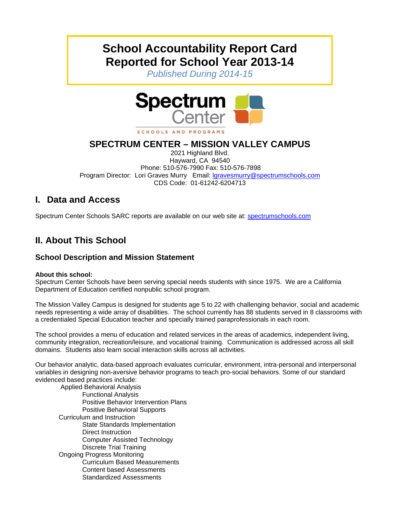# **School Accountability Report Card Reported for School Year 2013-14**

*Published During 2014-15* 



SCHOOLS AND PROGRAMS

# **SPECTRUM CENTER – MISSION VALLEY CAMPUS**

2021 Highland Blvd. Hayward, CA 94540 Phone: 510-576-7990 Fax: 510-576-7898 Program Director: Lori Graves Murry Email: *Igravesmurry@spectrumschools.com* CDS Code: 01-61242-6204713

# **I. Data and Access**

Spectrum Center Schools SARC reports are available on our web site at: spectrumschools.com

# **II. About This School**

### **School Description and Mission Statement**

### **About this school:**

Spectrum Center Schools have been serving special needs students with since 1975. We are a California Department of Education certified nonpublic school program.

The Mission Valley Campus is designed for students age 5 to 22 with challenging behavior, social and academic needs representing a wide array of disabilities. The school currently has 88 students served in 8 classrooms with a credentialed Special Education teacher and specially trained paraprofessionals in each room.

The school provides a menu of education and related services in the areas of academics, independent living, community integration, recreation/leisure, and vocational training. Communication is addressed across all skill domains. Students also learn social interaction skills across all activities.

Our behavior analytic, data-based approach evaluates curricular, environment, intra-personal and interpersonal variables in designing non-aversive behavior programs to teach pro-social behaviors. Some of our standard evidenced based practices include:

 Applied Behavioral Analysis Functional Analysis Positive Behavior Intervention Plans Positive Behavioral Supports Curriculum and Instruction State Standards Implementation Direct Instruction Computer Assisted Technology Discrete Trial Training Ongoing Progress Monitoring Curriculum Based Measurements Content based Assessments Standardized Assessments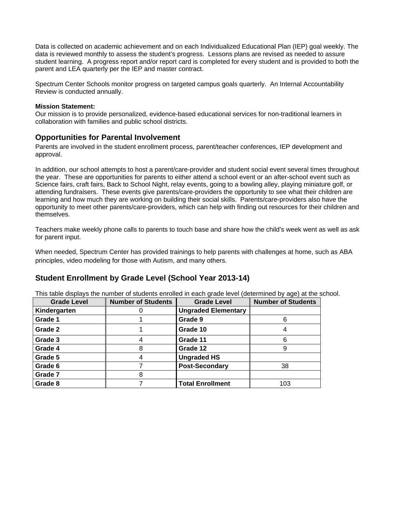Data is collected on academic achievement and on each Individualized Educational Plan (IEP) goal weekly. The data is reviewed monthly to assess the student's progress. Lessons plans are revised as needed to assure student learning. A progress report and/or report card is completed for every student and is provided to both the parent and LEA quarterly per the IEP and master contract.

Spectrum Center Schools monitor progress on targeted campus goals quarterly. An Internal Accountability Review is conducted annually.

#### **Mission Statement:**

Our mission is to provide personalized, evidence-based educational services for non-traditional learners in collaboration with families and public school districts.

### **Opportunities for Parental Involvement**

Parents are involved in the student enrollment process, parent/teacher conferences, IEP development and approval.

In addition, our school attempts to host a parent/care-provider and student social event several times throughout the year. These are opportunities for parents to either attend a school event or an after-school event such as Science fairs, craft fairs, Back to School Night, relay events, going to a bowling alley, playing miniature golf, or attending fundraisers. These events give parents/care-providers the opportunity to see what their children are learning and how much they are working on building their social skills. Parents/care-providers also have the opportunity to meet other parents/care-providers, which can help with finding out resources for their children and themselves.

Teachers make weekly phone calls to parents to touch base and share how the child's week went as well as ask for parent input.

When needed, Spectrum Center has provided trainings to help parents with challenges at home, such as ABA principles, video modeling for those with Autism, and many others.

### **Student Enrollment by Grade Level (School Year 2013-14)**

This table displays the number of students enrolled in each grade level (determined by age) at the school.

| <b>Grade Level</b> | <b>Number of Students</b> | <b>Grade Level</b>         | <b>Number of Students</b> |
|--------------------|---------------------------|----------------------------|---------------------------|
| Kindergarten       |                           | <b>Ungraded Elementary</b> |                           |
| Grade 1            |                           | Grade 9                    |                           |
| Grade 2            |                           | Grade 10                   |                           |
| Grade 3            |                           | Grade 11                   |                           |
| Grade 4            | 8                         | Grade 12                   |                           |
| Grade 5            |                           | <b>Ungraded HS</b>         |                           |
| Grade 6            |                           | <b>Post-Secondary</b>      | 38                        |
| Grade 7            | 8                         |                            |                           |
| Grade 8            |                           | <b>Total Enrollment</b>    | 103                       |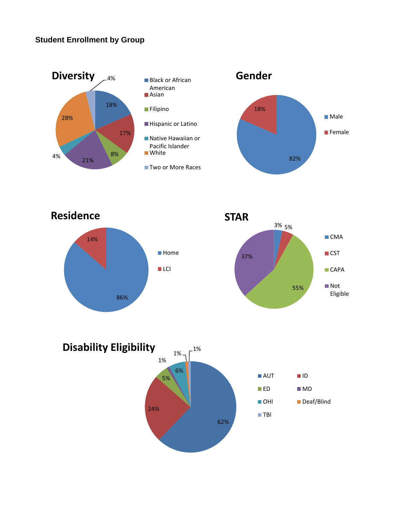## **Student Enrollment by Group**





■CMA

**■CST** 

**CAPA** 

■Not Eligible

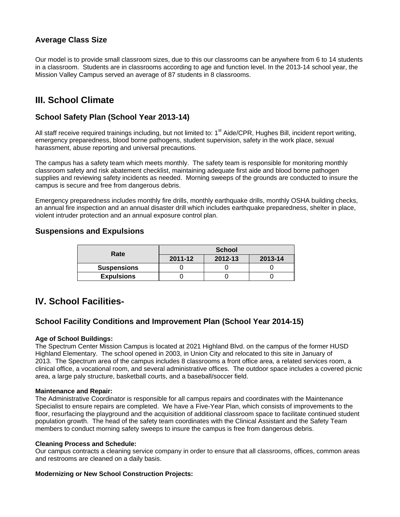### **Average Class Size**

Our model is to provide small classroom sizes, due to this our classrooms can be anywhere from 6 to 14 students in a classroom. Students are in classrooms according to age and function level. In the 2013-14 school year, the Mission Valley Campus served an average of 87 students in 8 classrooms.

# **III. School Climate**

### **School Safety Plan (School Year 2013-14)**

All staff receive required trainings including, but not limited to: 1<sup>st</sup> Aide/CPR, Hughes Bill, incident report writing, emergency preparedness, blood borne pathogens, student supervision, safety in the work place, sexual harassment, abuse reporting and universal precautions.

The campus has a safety team which meets monthly. The safety team is responsible for monitoring monthly classroom safety and risk abatement checklist, maintaining adequate first aide and blood borne pathogen supplies and reviewing safety incidents as needed. Morning sweeps of the grounds are conducted to insure the campus is secure and free from dangerous debris.

Emergency preparedness includes monthly fire drills, monthly earthquake drills, monthly OSHA building checks, an annual fire inspection and an annual disaster drill which includes earthquake preparedness, shelter in place, violent intruder protection and an annual exposure control plan.

### **Suspensions and Expulsions**

| Rate               | <b>School</b> |         |         |  |  |
|--------------------|---------------|---------|---------|--|--|
|                    | 2011-12       | 2012-13 | 2013-14 |  |  |
| <b>Suspensions</b> |               |         |         |  |  |
| <b>Expulsions</b>  |               |         |         |  |  |

## **IV. School Facilities-**

### **School Facility Conditions and Improvement Plan (School Year 2014-15)**

#### **Age of School Buildings:**

The Spectrum Center Mission Campus is located at 2021 Highland Blvd. on the campus of the former HUSD Highland Elementary. The school opened in 2003, in Union City and relocated to this site in January of 2013. The Spectrum area of the campus includes 8 classrooms a front office area, a related services room, a clinical office, a vocational room, and several administrative offices. The outdoor space includes a covered picnic area, a large paly structure, basketball courts, and a baseball/soccer field.

#### **Maintenance and Repair:**

The Administrative Coordinator is responsible for all campus repairs and coordinates with the Maintenance Specialist to ensure repairs are completed. We have a Five-Year Plan, which consists of improvements to the floor, resurfacing the playground and the acquisition of additional classroom space to facilitate continued student population growth. The head of the safety team coordinates with the Clinical Assistant and the Safety Team members to conduct morning safety sweeps to insure the campus is free from dangerous debris.

#### **Cleaning Process and Schedule:**

Our campus contracts a cleaning service company in order to ensure that all classrooms, offices, common areas and restrooms are cleaned on a daily basis.

#### **Modernizing or New School Construction Projects:**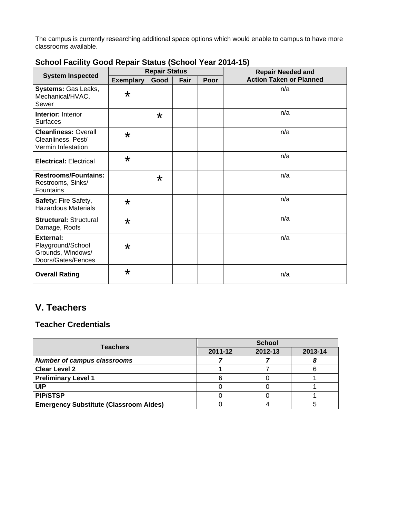The campus is currently researching additional space options which would enable to campus to have more classrooms available.

|                                                                                  | <b>Repair Status</b> |         |      |      | <b>Repair Needed and</b>       |  |
|----------------------------------------------------------------------------------|----------------------|---------|------|------|--------------------------------|--|
| <b>System Inspected</b>                                                          | <b>Exemplary</b>     | Good    | Fair | Poor | <b>Action Taken or Planned</b> |  |
| Systems: Gas Leaks,<br>Mechanical/HVAC,<br>Sewer                                 | $\star$              |         |      |      | n/a                            |  |
| <b>Interior: Interior</b><br><b>Surfaces</b>                                     |                      | $\star$ |      |      | n/a                            |  |
| <b>Cleanliness: Overall</b><br>Cleanliness, Pest/<br>Vermin Infestation          | $\star$              |         |      |      | n/a                            |  |
| <b>Electrical: Electrical</b>                                                    | $\star$              |         |      |      | n/a                            |  |
| <b>Restrooms/Fountains:</b><br>Restrooms, Sinks/<br>Fountains                    |                      | $\star$ |      |      | n/a                            |  |
| Safety: Fire Safety,<br><b>Hazardous Materials</b>                               | $\star$              |         |      |      | n/a                            |  |
| <b>Structural: Structural</b><br>Damage, Roofs                                   | $\star$              |         |      |      | n/a                            |  |
| <b>External:</b><br>Playground/School<br>Grounds, Windows/<br>Doors/Gates/Fences | $\star$              |         |      |      | n/a                            |  |
| <b>Overall Rating</b>                                                            | $\star$              |         |      |      | n/a                            |  |

## **School Facility Good Repair Status (School Year 2014-15)**

# **V. Teachers**

### **Teacher Credentials**

| <b>Teachers</b>                               | <b>School</b> |         |         |  |
|-----------------------------------------------|---------------|---------|---------|--|
|                                               | 2011-12       | 2012-13 | 2013-14 |  |
| <b>Number of campus classrooms</b>            |               |         |         |  |
| <b>Clear Level 2</b>                          |               |         |         |  |
| <b>Preliminary Level 1</b>                    |               |         |         |  |
| UIP                                           |               |         |         |  |
| <b>PIP/STSP</b>                               |               |         |         |  |
| <b>Emergency Substitute (Classroom Aides)</b> |               |         |         |  |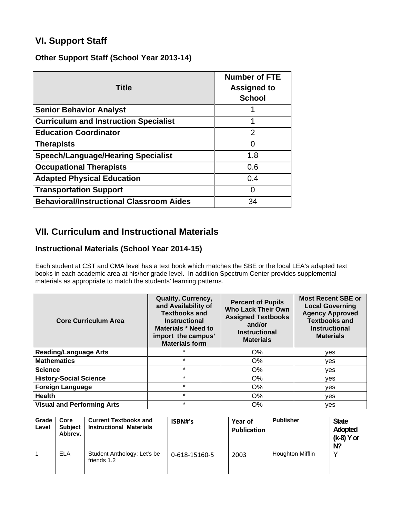# **VI. Support Staff**

**Other Support Staff (School Year 2013-14)** 

| <b>Title</b>                                    | <b>Number of FTE</b><br><b>Assigned to</b><br><b>School</b> |
|-------------------------------------------------|-------------------------------------------------------------|
| <b>Senior Behavior Analyst</b>                  |                                                             |
| <b>Curriculum and Instruction Specialist</b>    |                                                             |
| <b>Education Coordinator</b>                    | 2                                                           |
| <b>Therapists</b>                               |                                                             |
| <b>Speech/Language/Hearing Specialist</b>       | 1.8                                                         |
| <b>Occupational Therapists</b>                  | 0.6                                                         |
| <b>Adapted Physical Education</b>               | 0.4                                                         |
| <b>Transportation Support</b>                   |                                                             |
| <b>Behavioral/Instructional Classroom Aides</b> | 34                                                          |

# **VII. Curriculum and Instructional Materials**

## **Instructional Materials (School Year 2014-15)**

Each student at CST and CMA level has a text book which matches the SBE or the local LEA's adapted text books in each academic area at his/her grade level. In addition Spectrum Center provides supplemental materials as appropriate to match the students' learning patterns.

| <b>Core Curriculum Area</b>       | Quality, Currency,<br>and Availability of<br><b>Textbooks and</b><br><b>Instructional</b><br>Materials * Need to<br>import the campus'<br><b>Materials form</b> | <b>Percent of Pupils</b><br><b>Who Lack Their Own</b><br><b>Assigned Textbooks</b><br>and/or<br><b>Instructional</b><br><b>Materials</b> | <b>Most Recent SBE or</b><br><b>Local Governing</b><br><b>Agency Approved</b><br><b>Textbooks and</b><br><b>Instructional</b><br><b>Materials</b> |
|-----------------------------------|-----------------------------------------------------------------------------------------------------------------------------------------------------------------|------------------------------------------------------------------------------------------------------------------------------------------|---------------------------------------------------------------------------------------------------------------------------------------------------|
| <b>Reading/Language Arts</b>      | $\star$                                                                                                                                                         | $O\%$                                                                                                                                    | yes                                                                                                                                               |
| <b>Mathematics</b>                | $\star$                                                                                                                                                         | O%                                                                                                                                       | ves                                                                                                                                               |
| <b>Science</b>                    | $\star$                                                                                                                                                         | O%                                                                                                                                       | ves                                                                                                                                               |
| <b>History-Social Science</b>     | $\star$                                                                                                                                                         | O%                                                                                                                                       | ves                                                                                                                                               |
| <b>Foreign Language</b>           | $\star$                                                                                                                                                         | $O\%$                                                                                                                                    | yes                                                                                                                                               |
| <b>Health</b>                     | $\star$                                                                                                                                                         | O%                                                                                                                                       | ves                                                                                                                                               |
| <b>Visual and Performing Arts</b> | $\star$                                                                                                                                                         | $O\%$                                                                                                                                    | ves                                                                                                                                               |

| Grade<br>Level | Core<br><b>Subject</b><br>Abbrev. | <b>Current Textbooks and</b><br><b>Instructional Materials</b> | ISBN#'s       | <b>Year of</b><br><b>Publication</b> | <b>Publisher</b> | <b>State</b><br>Adopted<br>(k-8) Y or<br>$N$ ? |
|----------------|-----------------------------------|----------------------------------------------------------------|---------------|--------------------------------------|------------------|------------------------------------------------|
|                | <b>ELA</b>                        | Student Anthology: Let's be<br>friends 1.2                     | 0-618-15160-5 | 2003                                 | Houghton Mifflin |                                                |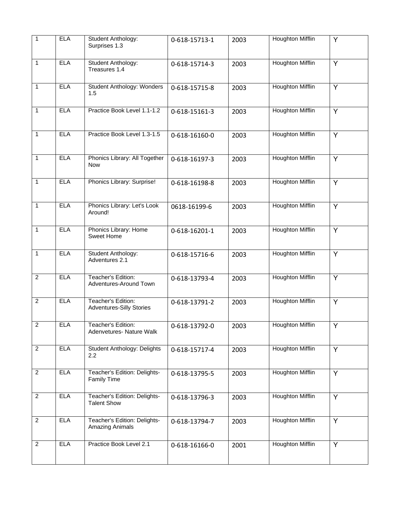| $\overline{1}$ | <b>ELA</b> | Student Anthology:<br>Surprises 1.3                   | 0-618-15713-1 | 2003 | <b>Houghton Mifflin</b> | Y              |
|----------------|------------|-------------------------------------------------------|---------------|------|-------------------------|----------------|
| $\mathbf{1}$   | <b>ELA</b> | Student Anthology:<br>Treasures 1.4                   | 0-618-15714-3 | 2003 | <b>Houghton Mifflin</b> | Y              |
| $\mathbf{1}$   | <b>ELA</b> | Student Anthology: Wonders<br>1.5                     | 0-618-15715-8 | 2003 | <b>Houghton Mifflin</b> | Y              |
| $\mathbf{1}$   | <b>ELA</b> | Practice Book Level 1.1-1.2                           | 0-618-15161-3 | 2003 | Houghton Mifflin        | Y              |
| $\mathbf{1}$   | <b>ELA</b> | Practice Book Level 1.3-1.5                           | 0-618-16160-0 | 2003 | <b>Houghton Mifflin</b> | Y              |
| $\mathbf{1}$   | <b>ELA</b> | Phonics Library: All Together<br><b>Now</b>           | 0-618-16197-3 | 2003 | <b>Houghton Mifflin</b> | Y              |
| $\mathbf{1}$   | <b>ELA</b> | Phonics Library: Surprise!                            | 0-618-16198-8 | 2003 | <b>Houghton Mifflin</b> | Y              |
| $\mathbf{1}$   | <b>ELA</b> | Phonics Library: Let's Look<br>Around!                | 0618-16199-6  | 2003 | <b>Houghton Mifflin</b> | $\overline{Y}$ |
| $\mathbf{1}$   | <b>ELA</b> | Phonics Library: Home<br>Sweet Home                   | 0-618-16201-1 | 2003 | <b>Houghton Mifflin</b> | Y              |
| $\mathbf{1}$   | <b>ELA</b> | Student Anthology:<br>Adventures 2.1                  | 0-618-15716-6 | 2003 | <b>Houghton Mifflin</b> | Y              |
| $\overline{2}$ | <b>ELA</b> | Teacher's Edition:<br>Adventures-Around Town          | 0-618-13793-4 | 2003 | <b>Houghton Mifflin</b> | Ÿ              |
| $\overline{2}$ | <b>ELA</b> | Teacher's Edition:<br><b>Adventures-Silly Stories</b> | 0-618-13791-2 | 2003 | <b>Houghton Mifflin</b> | Y              |
| $\overline{2}$ | <b>ELA</b> | Teacher's Edition:<br>Adenvetures- Nature Walk        | 0-618-13792-0 | 2003 | <b>Houghton Mifflin</b> | Y              |
| $\overline{2}$ | <b>ELA</b> | Student Anthology: Delights<br>2.2                    | 0-618-15717-4 | 2003 | <b>Houghton Mifflin</b> | Y              |
| 2              | <b>ELA</b> | Teacher's Edition: Delights-<br><b>Family Time</b>    | 0-618-13795-5 | 2003 | <b>Houghton Mifflin</b> | Y              |
| $\overline{c}$ | <b>ELA</b> | Teacher's Edition: Delights-<br><b>Talent Show</b>    | 0-618-13796-3 | 2003 | <b>Houghton Mifflin</b> | Y              |
| 2              | <b>ELA</b> | Teacher's Edition: Delights-<br>Amazing Animals       | 0-618-13794-7 | 2003 | <b>Houghton Mifflin</b> | Y              |
| 2              | <b>ELA</b> | Practice Book Level 2.1                               | 0-618-16166-0 | 2001 | <b>Houghton Mifflin</b> | Y              |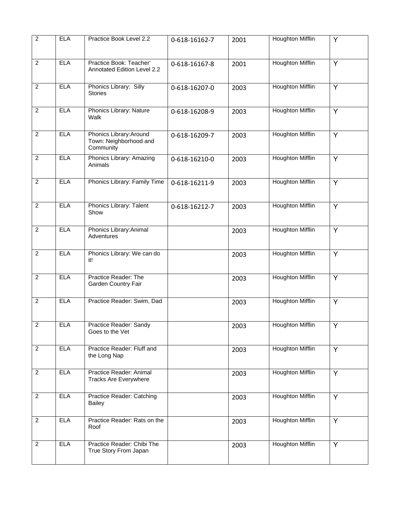| $\overline{2}$ | <b>ELA</b> | Practice Book Level 2.2                                        | 0-618-16162-7 | 2001 | <b>Houghton Mifflin</b> | Y              |
|----------------|------------|----------------------------------------------------------------|---------------|------|-------------------------|----------------|
| $\overline{2}$ | <b>ELA</b> | Practice Book: Teacher'<br>Annotated Edition Level 2.2         | 0-618-16167-8 | 2001 | <b>Houghton Mifflin</b> | Y              |
| $\overline{2}$ | <b>ELA</b> | Phonics Library: Silly<br><b>Stories</b>                       | 0-618-16207-0 | 2003 | <b>Houghton Mifflin</b> | Y              |
| $\overline{2}$ | <b>ELA</b> | Phonics Library: Nature<br>Walk                                | 0-618-16208-9 | 2003 | <b>Houghton Mifflin</b> | Y              |
| $\overline{2}$ | <b>ELA</b> | Phonics Library: Around<br>Town: Neighborhood and<br>Community | 0-618-16209-7 | 2003 | <b>Houghton Mifflin</b> | Y              |
| $\overline{2}$ | <b>ELA</b> | Phonics Library: Amazing<br>Animals                            | 0-618-16210-0 | 2003 | <b>Houghton Mifflin</b> | Y              |
| $\overline{2}$ | <b>ELA</b> | Phonics Library: Family Time                                   | 0-618-16211-9 | 2003 | <b>Houghton Mifflin</b> | Y              |
| $\overline{c}$ | <b>ELA</b> | Phonics Library: Talent<br>Show                                | 0-618-16212-7 | 2003 | <b>Houghton Mifflin</b> | Y              |
| $\overline{2}$ | <b>ELA</b> | Phonics Library: Animal<br>Adventures                          |               | 2003 | <b>Houghton Mifflin</b> | $\overline{Y}$ |
| $\overline{2}$ | <b>ELA</b> | Phonics Library: We can do<br>it!                              |               | 2003 | <b>Houghton Mifflin</b> | $\overline{Y}$ |
| $\overline{2}$ | <b>ELA</b> | Practice Reader: The<br>Garden Country Fair                    |               | 2003 | <b>Houghton Mifflin</b> | Y              |
| $\overline{2}$ | <b>ELA</b> | Practice Reader: Swim, Dad                                     |               | 2003 | <b>Houghton Mifflin</b> | Y              |
| $\overline{2}$ | <b>ELA</b> | Practice Reader: Sandy<br>Goes to the Vet                      |               | 2003 | <b>Houghton Mifflin</b> | Y              |
| $\overline{2}$ | <b>ELA</b> | Practice Reader: Fluff and<br>the Long Nap                     |               | 2003 | <b>Houghton Mifflin</b> | Y              |
| $\overline{2}$ | <b>ELA</b> | Practice Reader: Animal<br><b>Tracks Are Everywhere</b>        |               | 2003 | <b>Houghton Mifflin</b> | Y              |
| $\overline{2}$ | <b>ELA</b> | Practice Reader: Catching<br><b>Bailey</b>                     |               | 2003 | <b>Houghton Mifflin</b> | Y              |
| $\overline{2}$ | <b>ELA</b> | Practice Reader: Rats on the<br>Roof                           |               | 2003 | <b>Houghton Mifflin</b> | Y              |
| $\overline{2}$ | <b>ELA</b> | Practice Reader: Chibi The<br>True Story From Japan            |               | 2003 | <b>Houghton Mifflin</b> | Y              |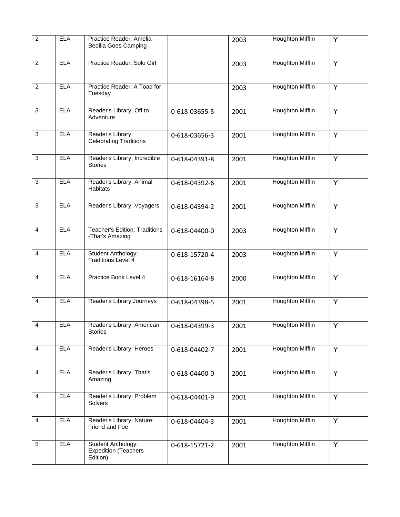| $\overline{2}$ | <b>ELA</b> | Practice Reader: Amelia<br><b>Bedilla Goes Camping</b>        |               | 2003 | <b>Houghton Mifflin</b> | Y              |
|----------------|------------|---------------------------------------------------------------|---------------|------|-------------------------|----------------|
| $\overline{2}$ | <b>ELA</b> | Practice Reader: Solo Girl                                    |               | 2003 | <b>Houghton Mifflin</b> | Y              |
| $\overline{2}$ | <b>ELA</b> | Practice Reader: A Toad for<br>Tuesday                        |               | 2003 | <b>Houghton Mifflin</b> | Y              |
| $\overline{3}$ | <b>ELA</b> | Reader's Library: Off to<br>Adventure                         | 0-618-03655-5 | 2001 | <b>Houghton Mifflin</b> | Y              |
| $\sqrt{3}$     | <b>ELA</b> | Reader's Library:<br><b>Celebrating Traditions</b>            | 0-618-03656-3 | 2001 | <b>Houghton Mifflin</b> | Y              |
| 3              | <b>ELA</b> | Reader's Library: Incredible<br><b>Stories</b>                | 0-618-04391-8 | 2001 | <b>Houghton Mifflin</b> | Y              |
| 3              | <b>ELA</b> | Reader's Library: Animal<br><b>Habitats</b>                   | 0-618-04392-6 | 2001 | <b>Houghton Mifflin</b> | Y              |
| 3              | <b>ELA</b> | Reader's Library: Voyagers                                    | 0-618-04394-2 | 2001 | <b>Houghton Mifflin</b> | Y              |
| $\overline{4}$ | <b>ELA</b> | <b>Teacher's Edition: Traditions</b><br>-That's Amazing       | 0-618-04400-0 | 2003 | <b>Houghton Mifflin</b> | $\overline{Y}$ |
| $\overline{4}$ | <b>ELA</b> | Student Anthology:<br><b>Traditions Level 4</b>               | 0-618-15720-4 | 2003 | <b>Houghton Mifflin</b> | $\overline{Y}$ |
| $\overline{4}$ | <b>ELA</b> | Practice Book Level 4                                         | 0-618-16164-8 | 2000 | <b>Houghton Mifflin</b> | Y              |
| $\overline{4}$ | <b>ELA</b> | Reader's Library: Journeys                                    | 0-618-04398-5 | 2001 | <b>Houghton Mifflin</b> | Y              |
| $\overline{4}$ | <b>ELA</b> | Reader's Library: American<br><b>Stories</b>                  | 0-618-04399-3 | 2001 | <b>Houghton Mifflin</b> | Y              |
| $\overline{4}$ | <b>ELA</b> | Reader's Library: Heroes                                      | 0-618-04402-7 | 2001 | <b>Houghton Mifflin</b> | Y              |
| $\overline{4}$ | <b>ELA</b> | Reader's Library: That's<br>Amazing                           | 0-618-04400-0 | 2001 | <b>Houghton Mifflin</b> | Y              |
| 4              | <b>ELA</b> | Reader's Library: Problem<br>Solvers                          | 0-618-04401-9 | 2001 | <b>Houghton Mifflin</b> | Y              |
| 4              | <b>ELA</b> | Reader's Library: Nature:<br>Friend and Foe                   | 0-618-04404-3 | 2001 | <b>Houghton Mifflin</b> | Y              |
| $\sqrt{5}$     | <b>ELA</b> | Student Anthology:<br><b>Expedition (Teachers</b><br>Edition) | 0-618-15721-2 | 2001 | <b>Houghton Mifflin</b> | Y              |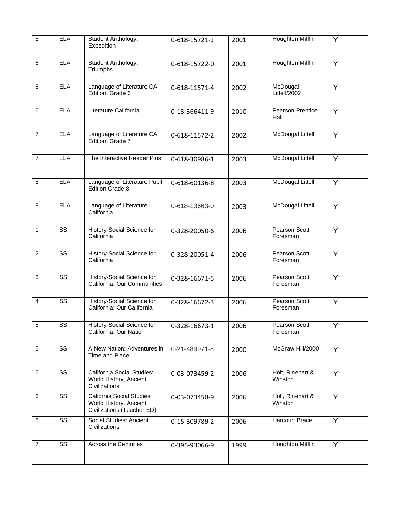| $\overline{5}$ | <b>ELA</b>             | Student Anthology:<br>Expedition                                                  | 0-618-15721-2 | 2001 | Houghton Mifflin                 | Y |
|----------------|------------------------|-----------------------------------------------------------------------------------|---------------|------|----------------------------------|---|
| 6              | <b>ELA</b>             | Student Anthology:<br>Triumphs                                                    | 0-618-15722-0 | 2001 | <b>Houghton Mifflin</b>          | Y |
| 6              | <b>ELA</b>             | Language of Literature CA<br>Edition, Grade 6                                     | 0-618-11571-4 | 2002 | McDougal<br>Littell/2002         | Y |
| 6              | <b>ELA</b>             | Literature California                                                             | 0-13-366411-9 | 2010 | Pearson Prentice<br>Hall         | Y |
| $\overline{7}$ | <b>ELA</b>             | Language of Literature CA<br>Edition, Grade 7                                     | 0-618-11572-2 | 2002 | <b>McDougal Littell</b>          | Y |
| $\overline{7}$ | <b>ELA</b>             | The Interactive Reader Plus                                                       | 0-618-30986-1 | 2003 | <b>McDougal Littell</b>          | Y |
| 8              | <b>ELA</b>             | Language of Literature Pupil<br>Edition Grade 8                                   | 0-618-60136-8 | 2003 | <b>McDougal Littell</b>          | Y |
| 8              | <b>ELA</b>             | Language of Literature<br>California                                              | 0-618-13663-0 | 2003 | <b>McDougal Littell</b>          | Y |
| $\mathbf{1}$   | $\overline{\text{ss}}$ | History-Social Science for<br>California                                          | 0-328-20050-6 | 2006 | Pearson Scott<br>Foresman        | Y |
| 2              | $\overline{\text{ss}}$ | History-Social Science for<br>California                                          | 0-328-20051-4 | 2006 | <b>Pearson Scott</b><br>Foresman | Y |
| $\overline{3}$ | $\overline{\text{ss}}$ | History-Social Science for<br>California: Our Communities                         | 0-328-16671-5 | 2006 | Pearson Scott<br>Foresman        | Y |
| $\overline{4}$ | $\overline{\text{ss}}$ | History-Social Science for<br>California: Our California                          | 0-328-16672-3 | 2006 | Pearson Scott<br>Foresman        | Y |
| 5              | SS                     | History-Social Science for<br>California: Our Nation                              | 0-328-16673-1 | 2006 | Pearson Scott<br>Foresman        | Y |
| $\sqrt{5}$     | $\overline{\text{ss}}$ | A New Nation: Adventures in<br>Time and Place                                     | 0-21-489971-8 | 2000 | McGraw Hill/2000                 | Y |
| 6              | SS                     | California Social Studies:<br>World History, Ancient<br>Civilizations             | 0-03-073459-2 | 2006 | Holt, Rinehart &<br>Winston      | Y |
| 6              | SS                     | Caliornia Social Studies:<br>World History, Ancient<br>Civilizations (Teacher ED) | 0-03-073458-9 | 2006 | Holt, Rinehart &<br>Winston      | Y |
| 6              | $\overline{\text{ss}}$ | Social Studies: Ancient<br>Civilizations                                          | 0-15-309789-2 | 2006 | Harcourt Brace                   | Y |
| $\overline{7}$ | SS                     | <b>Across the Centuries</b>                                                       | 0-395-93066-9 | 1999 | <b>Houghton Mifflin</b>          | Y |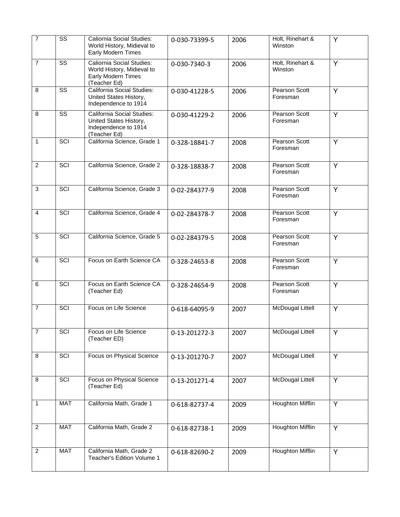| $\overline{7}$   | $\overline{\text{ss}}$ | Caliornia Social Studies:<br>World History, Midieval to<br><b>Early Modern Times</b>                 | 0-030-73399-5 | 2006 | Holt, Rinehart &<br>Winston | Y |
|------------------|------------------------|------------------------------------------------------------------------------------------------------|---------------|------|-----------------------------|---|
| $\overline{7}$   | $\overline{\text{ss}}$ | Caliornia Social Studies:<br>World History, Midieval to<br><b>Early Modern Times</b><br>(Teacher Ed) | 0-030-7340-3  | 2006 | Holt, Rinehart &<br>Winston | Y |
| 8                | $\overline{\text{ss}}$ | California Social Studies:<br>United States History,<br>Independence to 1914                         | 0-030-41228-5 | 2006 | Pearson Scott<br>Foresman   | Y |
| 8                | SS                     | California Social Studies:<br>United States History,<br>Independence to 1914<br>(Teacher Ed)         | 0-030-41229-2 | 2006 | Pearson Scott<br>Foresman   | Y |
| $\mathbf{1}$     | SCI                    | California Science, Grade 1                                                                          | 0-328-18841-7 | 2008 | Pearson Scott<br>Foresman   | Y |
| $\overline{2}$   | SCI                    | California Science, Grade 2                                                                          | 0-328-18838-7 | 2008 | Pearson Scott<br>Foresman   | Y |
| $\sqrt{3}$       | SCI                    | California Science, Grade 3                                                                          | 0-02-284377-9 | 2008 | Pearson Scott<br>Foresman   | Y |
| 4                | SCI                    | California Science, Grade 4                                                                          | 0-02-284378-7 | 2008 | Pearson Scott<br>Foresman   | Y |
| 5                | <b>SCI</b>             | California Science, Grade 5                                                                          | 0-02-284379-5 | 2008 | Pearson Scott<br>Foresman   | Y |
| 6                | <b>SCI</b>             | Focus on Earth Science CA                                                                            | 0-328-24653-8 | 2008 | Pearson Scott<br>Foresman   | Y |
| 6                | <b>SCI</b>             | Focus on Earth Science CA<br>(Teacher Ed)                                                            | 0-328-24654-9 | 2008 | Pearson Scott<br>Foresman   | Y |
| $\overline{7}$   | <b>SCI</b>             | Focus on Life Science                                                                                | 0-618-64095-9 | 2007 | <b>McDougal Littell</b>     | Y |
| $\boldsymbol{7}$ | SCI                    | Focus on Life Science<br>(Teacher ED)                                                                | 0-13-201272-3 | 2007 | <b>McDougal Littell</b>     | Υ |
| 8                | <b>SCI</b>             | Focus on Physical Science                                                                            | 0-13-201270-7 | 2007 | <b>McDougal Littell</b>     | Y |
| 8                | <b>SCI</b>             | Focus on Physical Science<br>(Teacher Ed)                                                            | 0-13-201271-4 | 2007 | <b>McDougal Littell</b>     | Y |
| 1                | <b>MAT</b>             | California Math, Grade 1                                                                             | 0-618-82737-4 | 2009 | <b>Houghton Mifflin</b>     | Υ |
| $\overline{2}$   | <b>MAT</b>             | California Math, Grade 2                                                                             | 0-618-82738-1 | 2009 | <b>Houghton Mifflin</b>     | Y |
| $\overline{2}$   | <b>MAT</b>             | California Math, Grade 2<br>Teacher's Edition Volume 1                                               | 0-618-82690-2 | 2009 | <b>Houghton Mifflin</b>     | Y |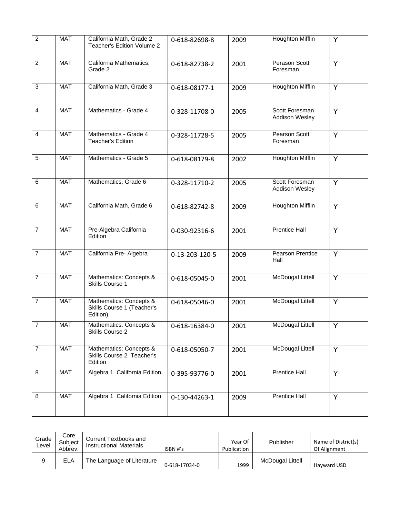| $\overline{2}$ | <b>MAT</b> | California Math, Grade 2<br>Teacher's Edition Volume 2            | 0-618-82698-8  | 2009 | <b>Houghton Mifflin</b>          | Y              |
|----------------|------------|-------------------------------------------------------------------|----------------|------|----------------------------------|----------------|
| $\overline{2}$ | <b>MAT</b> | California Mathematics,<br>Grade 2                                | 0-618-82738-2  | 2001 | Perason Scott<br>Foresman        | Y              |
| $\overline{3}$ | <b>MAT</b> | California Math, Grade 3                                          | 0-618-08177-1  | 2009 | <b>Houghton Mifflin</b>          | Y              |
| $\overline{4}$ | <b>MAT</b> | Mathematics - Grade 4                                             | 0-328-11708-0  | 2005 | Scott Foresman<br>Addison Wesley | Y              |
| $\overline{4}$ | <b>MAT</b> | Mathematics - Grade 4<br><b>Teacher's Edition</b>                 | 0-328-11728-5  | 2005 | <b>Pearson Scott</b><br>Foresman | Y              |
| 5              | <b>MAT</b> | Mathematics - Grade 5                                             | 0-618-08179-8  | 2002 | <b>Houghton Mifflin</b>          | Y              |
| 6              | <b>MAT</b> | Mathematics, Grade 6                                              | 0-328-11710-2  | 2005 | Scott Foresman<br>Addison Wesley | Y              |
| 6              | <b>MAT</b> | California Math, Grade 6                                          | 0-618-82742-8  | 2009 | <b>Houghton Mifflin</b>          | Y              |
| $\overline{7}$ | <b>MAT</b> | Pre-Algebra California<br>Edition                                 | 0-030-92316-6  | 2001 | <b>Prentice Hall</b>             | $\overline{Y}$ |
| $\overline{7}$ | <b>MAT</b> | California Pre- Algebra                                           | 0-13-203-120-5 | 2009 | <b>Pearson Prentice</b><br>Hall  | $\overline{Y}$ |
| $\overline{7}$ | <b>MAT</b> | Mathematics: Concepts &<br>Skills Course 1                        | 0-618-05045-0  | 2001 | <b>McDougal Littell</b>          | Y              |
| $\overline{7}$ | <b>MAT</b> | Mathematics: Concepts &<br>Skills Course 1 (Teacher's<br>Edition) | 0-618-05046-0  | 2001 | <b>McDougal Littell</b>          | Y              |
| $\overline{7}$ | <b>MAT</b> | Mathematics: Concepts &<br>Skills Course 2                        | 0-618-16384-0  | 2001 | McDougal Littell                 | Y              |
| $\overline{7}$ | <b>MAT</b> | Mathematics: Concepts &<br>Skills Course 2 Teacher's<br>Edition   | 0-618-05050-7  | 2001 | <b>McDougal Littell</b>          | Y              |
| 8              | <b>MAT</b> | Algebra 1 California Edition                                      | 0-395-93776-0  | 2001 | <b>Prentice Hall</b>             | Y              |
| 8              | <b>MAT</b> | Algebra 1 California Edition                                      | 0-130-44263-1  | 2009 | <b>Prentice Hall</b>             | Y              |

| Grade<br>Level | Core<br>Subject<br>Abbrev. | Current Textbooks and<br><b>Instructional Materials</b> | ISBN #'s      | Year Of<br>Publication | Publisher        | Name of District(s)<br>Of Alignment |
|----------------|----------------------------|---------------------------------------------------------|---------------|------------------------|------------------|-------------------------------------|
| 9              | ELA                        | The Language of Literature                              | 0-618-17034-0 | 1999                   | McDougal Littell | Havward USD                         |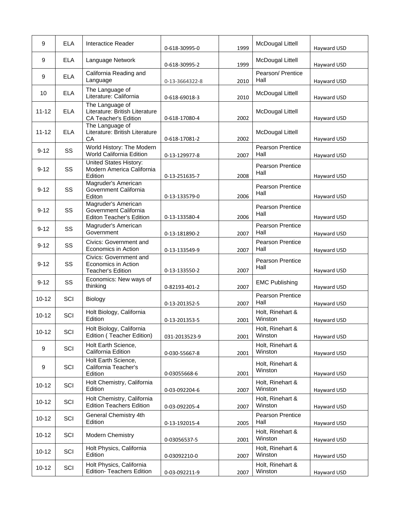| 9         | <b>ELA</b> | Interactice Reader                                                               | 0-618-30995-0  | 1999 | <b>McDougal Littell</b>         | Hayward USD |
|-----------|------------|----------------------------------------------------------------------------------|----------------|------|---------------------------------|-------------|
| 9         | <b>ELA</b> | Language Network                                                                 | 0-618-30995-2  | 1999 | <b>McDougal Littell</b>         | Hayward USD |
| 9         | <b>ELA</b> | California Reading and<br>Language                                               | 0-13-3664322-8 | 2010 | Pearson/ Prentice<br>Hall       | Hayward USD |
| 10        | <b>ELA</b> | The Language of<br>Literature: California                                        | 0-618-69018-3  | 2010 | <b>McDougal Littell</b>         | Hayward USD |
| $11 - 12$ | <b>ELA</b> | The Language of<br>Literature: British Literature<br><b>CA Teacher's Edition</b> | 0-618-17080-4  | 2002 | McDougal Littell                | Hayward USD |
| $11 - 12$ | <b>ELA</b> | The Language of<br>Literature: British Literature<br>CA                          | 0-618-17081-2  | 2002 | <b>McDougal Littell</b>         | Hayward USD |
| $9 - 12$  | SS         | World History: The Modern<br>World California Edition                            | 0-13-129977-8  | 2007 | Pearson Prentice<br>Hall        | Hayward USD |
| $9 - 12$  | SS         | <b>United States History:</b><br>Modern America California<br>Edition            | 0-13-251635-7  | 2008 | <b>Pearson Prentice</b><br>Hall | Hayward USD |
| $9 - 12$  | SS         | Magruder's American<br>Government California<br>Editon                           | 0-13-133579-0  | 2006 | <b>Pearson Prentice</b><br>Hall | Hayward USD |
| $9 - 12$  | SS         | Magruder's American<br>Government California<br><b>Editon Teacher's Edition</b>  | 0-13-133580-4  | 2006 | <b>Pearson Prentice</b><br>Hall | Hayward USD |
| $9 - 12$  | SS         | Magruder's American<br>Government                                                | 0-13-181890-2  | 2007 | <b>Pearson Prentice</b><br>Hall | Hayward USD |
| $9 - 12$  | SS         | Civics: Government and<br>Economics in Action                                    | 0-13-133549-9  | 2007 | Pearson Prentice<br>Hall        | Hayward USD |
| $9 - 12$  | SS         | Civics: Government and<br>Economics in Action<br><b>Teacher's Edition</b>        | 0-13-133550-2  | 2007 | <b>Pearson Prentice</b><br>Hall | Hayward USD |
| $9 - 12$  | SS         | Economics: New ways of<br>thinking                                               | 0-82193-401-2  | 2007 | <b>EMC Publishing</b>           | Hayward USD |
| $10 - 12$ | SCI        | Biology                                                                          | 0-13-201352-5  | 2007 | Pearson Prentice<br>Hall        | Hayward USD |
| $10 - 12$ | SCI        | Holt Biology, California<br>Edition                                              | 0-13-201353-5  | 2001 | Holt, Rinehart &<br>Winston     | Hayward USD |
| $10 - 12$ | SCI        | Holt Biology, California<br>Edition (Teacher Edition)                            | 031-2013523-9  | 2001 | Holt, Rinehart &<br>Winston     | Hayward USD |
| $9\,$     | SCI        | Holt Earth Science,<br>California Edition                                        | 0-030-55667-8  | 2001 | Holt, Rinehart &<br>Winston     | Hayward USD |
| 9         | SCI        | Holt Earth Science,<br>California Teacher's<br>Edition                           | 0-03055668-6   | 2001 | Holt, Rinehart &<br>Winston     | Hayward USD |
| $10 - 12$ | SCI        | Holt Chemistry, California<br>Edition                                            | 0-03-092204-6  | 2007 | Holt, Rinehart &<br>Winston     | Hayward USD |
| $10 - 12$ | SCI        | Holt Chemistry, California<br><b>Edition Teachers Edition</b>                    | 0-03-092205-4  | 2007 | Holt, Rinehart &<br>Winston     | Hayward USD |
| $10 - 12$ | SCI        | General Chemistry 4th<br>Edition                                                 | 0-13-192015-4  | 2005 | Pearson Prentice<br>Hall        | Hayward USD |
| $10 - 12$ | SCI        | Modern Chemistry                                                                 | 0-03056537-5   | 2001 | Holt, Rinehart &<br>Winston     | Hayward USD |
| $10 - 12$ | SCI        | Holt Physics, California<br>Edition                                              | 0-03092210-0   | 2007 | Holt, Rinehart &<br>Winston     | Hayward USD |
| $10 - 12$ | SCI        | Holt Physics, California<br><b>Edition- Teachers Edition</b>                     | 0-03-092211-9  | 2007 | Holt, Rinehart &<br>Winston     | Hayward USD |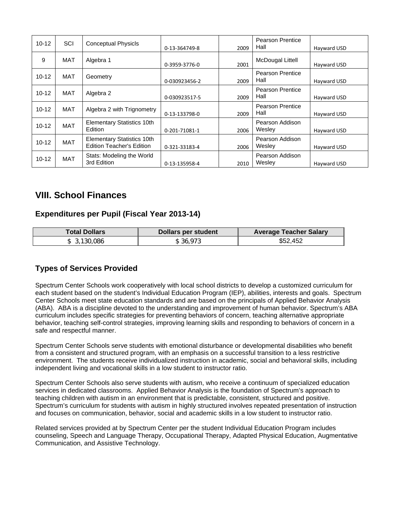| $10 - 12$ | SCI        | <b>Conceptual Physicls</b>                                            | 0-13-364749-8 | 2009 | <b>Pearson Prentice</b><br>Hall | Hayward USD |
|-----------|------------|-----------------------------------------------------------------------|---------------|------|---------------------------------|-------------|
| 9         | MAT        | Algebra 1                                                             | 0-3959-3776-0 | 2001 | McDougal Littell                | Hayward USD |
| $10 - 12$ | MAT        | Geometry                                                              | 0-030923456-2 | 2009 | <b>Pearson Prentice</b><br>Hall | Hayward USD |
| $10 - 12$ | <b>MAT</b> | Algebra 2                                                             | 0-030923517-5 | 2009 | <b>Pearson Prentice</b><br>Hall | Hayward USD |
| $10 - 12$ | MAT        | Algebra 2 with Trignometry                                            | 0-13-133798-0 | 2009 | <b>Pearson Prentice</b><br>Hall | Hayward USD |
| $10 - 12$ | <b>MAT</b> | <b>Elementary Statistics 10th</b><br>Edition                          | 0-201-71081-1 | 2006 | Pearson Addison<br>Wesley       | Hayward USD |
| $10 - 12$ | <b>MAT</b> | <b>Elementary Statistics 10th</b><br><b>Edition Teacher's Edition</b> | 0-321-33183-4 | 2006 | Pearson Addison<br>Wesley       | Hayward USD |
| $10 - 12$ | <b>MAT</b> | Stats: Modeling the World<br>3rd Edition                              | 0-13-135958-4 | 2010 | Pearson Addison<br>Wesley       | Hayward USD |

# **VIII. School Finances**

### **Expenditures per Pupil (Fiscal Year 2013-14)**

| <b>Total Dollars</b> | <b>Dollars per student</b> | <b>Average Teacher Salary</b> |
|----------------------|----------------------------|-------------------------------|
| \$3,130,086          | \$36,973                   | \$52,452                      |

## **Types of Services Provided**

Spectrum Center Schools work cooperatively with local school districts to develop a customized curriculum for each student based on the student's Individual Education Program (IEP), abilities, interests and goals. Spectrum Center Schools meet state education standards and are based on the principals of Applied Behavior Analysis (ABA). ABA is a discipline devoted to the understanding and improvement of human behavior. Spectrum's ABA curriculum includes specific strategies for preventing behaviors of concern, teaching alternative appropriate behavior, teaching self-control strategies, improving learning skills and responding to behaviors of concern in a safe and respectful manner.

Spectrum Center Schools serve students with emotional disturbance or developmental disabilities who benefit from a consistent and structured program, with an emphasis on a successful transition to a less restrictive environment. The students receive individualized instruction in academic, social and behavioral skills, including independent living and vocational skills in a low student to instructor ratio.

Spectrum Center Schools also serve students with autism, who receive a continuum of specialized education services in dedicated classrooms. Applied Behavior Analysis is the foundation of Spectrum's approach to teaching children with autism in an environment that is predictable, consistent, structured and positive. Spectrum's curriculum for students with autism in highly structured involves repeated presentation of instruction and focuses on communication, behavior, social and academic skills in a low student to instructor ratio.

Related services provided at by Spectrum Center per the student Individual Education Program includes counseling, Speech and Language Therapy, Occupational Therapy, Adapted Physical Education, Augmentative Communication, and Assistive Technology.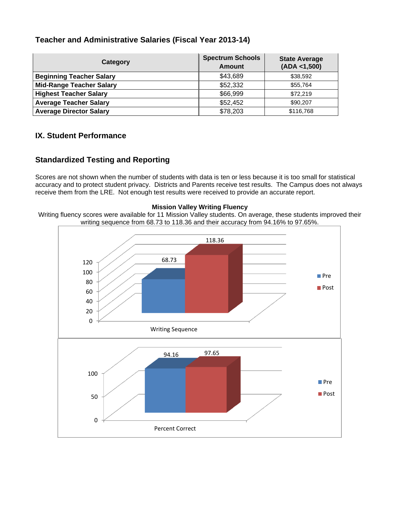### **Teacher and Administrative Salaries (Fiscal Year 2013-14)**

| Category                        | <b>Spectrum Schools</b><br><b>Amount</b> | <b>State Average</b><br>(ADA < 1,500) |
|---------------------------------|------------------------------------------|---------------------------------------|
| <b>Beginning Teacher Salary</b> | \$43,689                                 | \$38,592                              |
| <b>Mid-Range Teacher Salary</b> | \$52,332                                 | \$55,764                              |
| <b>Highest Teacher Salary</b>   | \$66,999                                 | \$72,219                              |
| <b>Average Teacher Salary</b>   | \$52,452                                 | \$90,207                              |
| <b>Average Director Salary</b>  | \$78,203                                 | \$116,768                             |

### **IX. Student Performance**

### **Standardized Testing and Reporting**

Scores are not shown when the number of students with data is ten or less because it is too small for statistical accuracy and to protect student privacy. Districts and Parents receive test results. The Campus does not always receive them from the LRE. Not enough test results were received to provide an accurate report.

#### **Mission Valley Writing Fluency**

Writing fluency scores were available for 11 Mission Valley students. On average, these students improved their writing sequence from 68.73 to 118.36 and their accuracy from 94.16% to 97.65%.

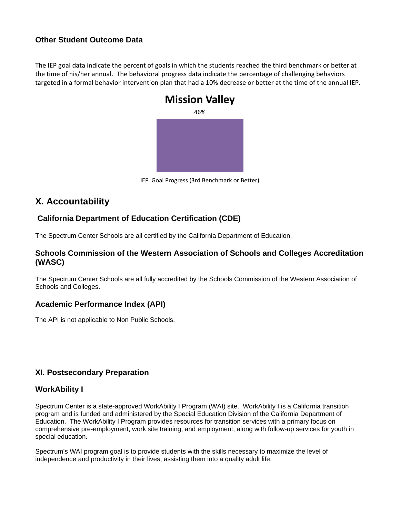### **Other Student Outcome Data**

The IEP goal data indicate the percent of goals in which the students reached the third benchmark or better at the time of his/her annual. The behavioral progress data indicate the percentage of challenging behaviors targeted in a formal behavior intervention plan that had a 10% decrease or better at the time of the annual IEP.



IEP Goal Progress (3rd Benchmark or Better)

# **X. Accountability**

## **California Department of Education Certification (CDE)**

The Spectrum Center Schools are all certified by the California Department of Education.

### **Schools Commission of the Western Association of Schools and Colleges Accreditation (WASC)**

The Spectrum Center Schools are all fully accredited by the Schools Commission of the Western Association of Schools and Colleges.

### **Academic Performance Index (API)**

The API is not applicable to Non Public Schools.

### **XI. Postsecondary Preparation**

### **WorkAbility I**

Spectrum Center is a state-approved WorkAbility I Program (WAI) site. WorkAbility I is a California transition program and is funded and administered by the Special Education Division of the California Department of Education. The WorkAbility I Program provides resources for transition services with a primary focus on comprehensive pre-employment, work site training, and employment, along with follow-up services for youth in special education.

Spectrum's WAI program goal is to provide students with the skills necessary to maximize the level of independence and productivity in their lives, assisting them into a quality adult life.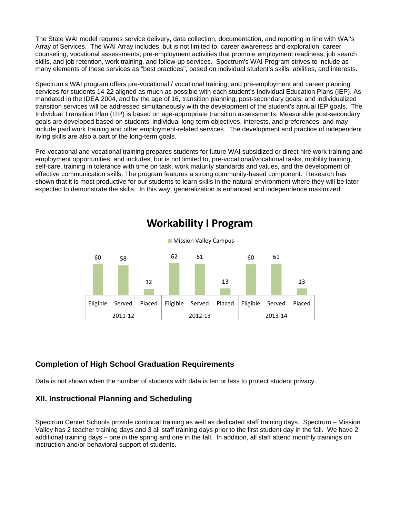The State WAI model requires service delivery, data collection, documentation, and reporting in line with WAI's Array of Services. The WAI Array includes, but is not limited to, career awareness and exploration, career counseling, vocational assessments, pre-employment activities that promote employment readiness, job search skills, and job retention, work training, and follow-up services. Spectrum's WAI Program strives to include as many elements of these services as "best practices", based on individual student's skills, abilities, and interests.

Spectrum's WAI program offers pre-vocational / vocational training, and pre-employment and career planning services for students 14-22 aligned as much as possible with each student's Individual Education Plans (IEP). As mandated in the IDEA 2004, and by the age of 16, transition planning, post-secondary goals, and individualized transition services will be addressed simultaneously with the development of the student's annual IEP goals. The Individual Transition Plan (ITP) is based on age-appropriate transition assessments. Measurable post-secondary goals are developed based on students' individual long-term objectives, interests, and preferences, and may include paid work training and other employment-related services. The development and practice of independent living skills are also a part of the long-term goals.

Pre-vocational and vocational training prepares students for future WAI subsidized or direct hire work training and employment opportunities, and includes, but is not limited to, pre-vocational/vocational tasks, mobility training, self-care, training in tolerance with time on task, work maturity standards and values, and the development of effective communication skills. The program features a strong community-based component. Research has shown that it is most productive for our students to learn skills in the natural environment where they will be later expected to demonstrate the skills. In this way, generalization is enhanced and independence maximized.



# **Workability I Program**

### **Completion of High School Graduation Requirements**

Data is not shown when the number of students with data is ten or less to protect student privacy.

### **XII. Instructional Planning and Scheduling**

Spectrum Center Schools provide continual training as well as dedicated staff training days. Spectrum – Mission Valley has 2 teacher training days and 3 all staff training days prior to the first student day in the fall. We have 2 additional training days – one in the spring and one in the fall. In addition, all staff attend monthly trainings on instruction and/or behavioral support of students.